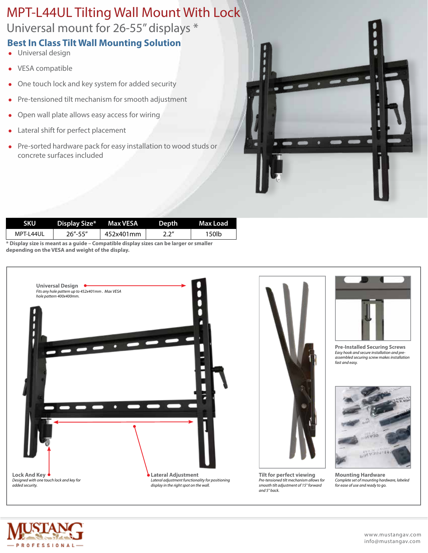## MPT-L44UL Tilting Wall Mount With Lock

Universal mount for 26-55" displays \*

## **Best In Class Tilt Wall Mounting Solution**

- **.** Universal design
- VESA compatible
- One touch lock and key system for added security
- Pre-tensioned tilt mechanism for smooth adjustment
- Open wall plate allows easy access for wiring
- Lateral shift for perfect placement
- Pre-sorted hardware pack for easy installation to wood studs or concrete surfaces included



| <b>SKU</b> | Display Size* Max VESA |           | Depth | Max Load |
|------------|------------------------|-----------|-------|----------|
| MPT-L44UL  | $26" - 55"$            | 452x401mm | 2.2"  | 150lb    |
|            |                        |           |       |          |

**\* Display size is meant as a guide – Compatible display sizes can be larger or smaller depending on the VESA and weight of the display.**





**Tilt for perfect viewing** *Pre-tensioned tilt mechanism allows for smooth tilt adjustment of 15° forward and 5° back.*



**Pre-Installed Securing Screws** *Easy hook and secure installation and preassembled securing screw makes installation fast and easy.*



**Mounting Hardware** *Complete set of mounting hardware, labeled for ease of use and ready to go.*